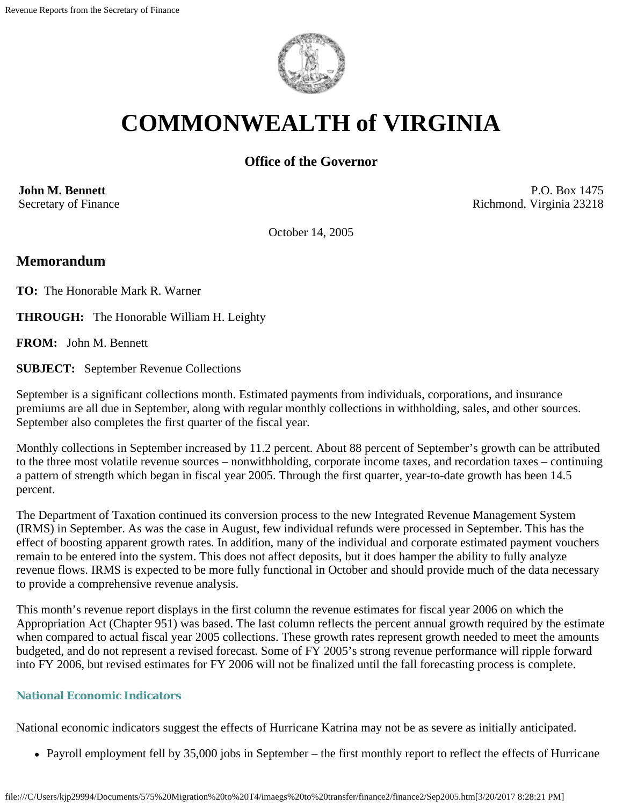

# **COMMONWEALTH of VIRGINIA**

# **Office of the Governor**

**John M. Bennett** Secretary of Finance

P.O. Box 1475 Richmond, Virginia 23218

October 14, 2005

# **Memorandum**

**TO:** The Honorable Mark R. Warner

**THROUGH:** The Honorable William H. Leighty

**FROM:** John M. Bennett

**SUBJECT:** September Revenue Collections

September is a significant collections month. Estimated payments from individuals, corporations, and insurance premiums are all due in September, along with regular monthly collections in withholding, sales, and other sources. September also completes the first quarter of the fiscal year.

Monthly collections in September increased by 11.2 percent. About 88 percent of September's growth can be attributed to the three most volatile revenue sources – nonwithholding, corporate income taxes, and recordation taxes – continuing a pattern of strength which began in fiscal year 2005. Through the first quarter, year-to-date growth has been 14.5 percent.

The Department of Taxation continued its conversion process to the new Integrated Revenue Management System (IRMS) in September. As was the case in August, few individual refunds were processed in September. This has the effect of boosting apparent growth rates. In addition, many of the individual and corporate estimated payment vouchers remain to be entered into the system. This does not affect deposits, but it does hamper the ability to fully analyze revenue flows. IRMS is expected to be more fully functional in October and should provide much of the data necessary to provide a comprehensive revenue analysis.

This month's revenue report displays in the first column the revenue estimates for fiscal year 2006 on which the Appropriation Act (Chapter 951) was based. The last column reflects the percent annual growth required by the estimate when compared to actual fiscal year 2005 collections. These growth rates represent growth needed to meet the amounts budgeted, and do not represent a revised forecast. Some of FY 2005's strong revenue performance will ripple forward into FY 2006, but revised estimates for FY 2006 will not be finalized until the fall forecasting process is complete.

## **National Economic Indicators**

National economic indicators suggest the effects of Hurricane Katrina may not be as severe as initially anticipated.

• Payroll employment fell by 35,000 jobs in September – the first monthly report to reflect the effects of Hurricane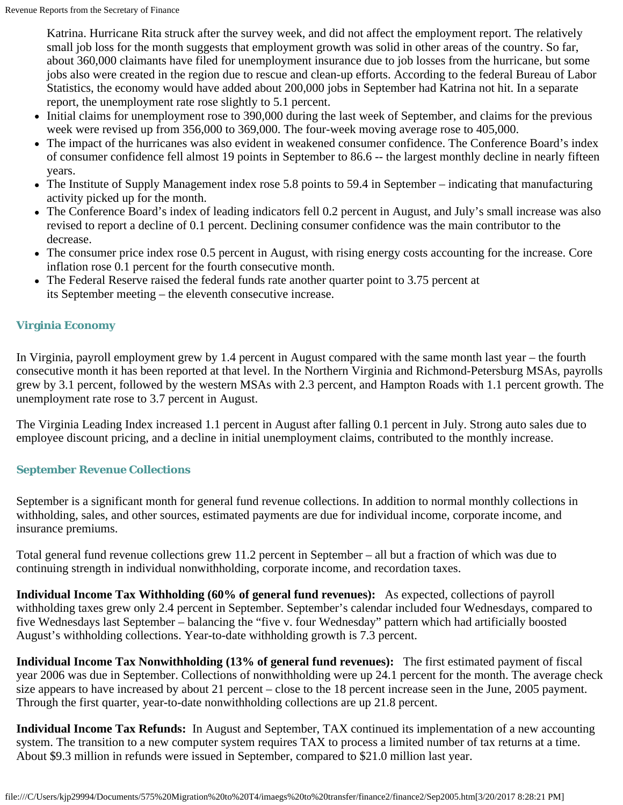Katrina. Hurricane Rita struck after the survey week, and did not affect the employment report. The relatively small job loss for the month suggests that employment growth was solid in other areas of the country. So far, about 360,000 claimants have filed for unemployment insurance due to job losses from the hurricane, but some jobs also were created in the region due to rescue and clean-up efforts. According to the federal Bureau of Labor Statistics, the economy would have added about 200,000 jobs in September had Katrina not hit. In a separate report, the unemployment rate rose slightly to 5.1 percent.

- Initial claims for unemployment rose to 390,000 during the last week of September, and claims for the previous week were revised up from 356,000 to 369,000. The four-week moving average rose to 405,000.
- The impact of the hurricanes was also evident in weakened consumer confidence. The Conference Board's index of consumer confidence fell almost 19 points in September to 86.6 -- the largest monthly decline in nearly fifteen years.
- The Institute of Supply Management index rose 5.8 points to 59.4 in September indicating that manufacturing activity picked up for the month.
- The Conference Board's index of leading indicators fell 0.2 percent in August, and July's small increase was also revised to report a decline of 0.1 percent. Declining consumer confidence was the main contributor to the decrease.
- The consumer price index rose 0.5 percent in August, with rising energy costs accounting for the increase. Core inflation rose 0.1 percent for the fourth consecutive month.
- The Federal Reserve raised the federal funds rate another quarter point to 3.75 percent at its September meeting – the eleventh consecutive increase.

## **Virginia Economy**

In Virginia, payroll employment grew by 1.4 percent in August compared with the same month last year – the fourth consecutive month it has been reported at that level. In the Northern Virginia and Richmond-Petersburg MSAs, payrolls grew by 3.1 percent, followed by the western MSAs with 2.3 percent, and Hampton Roads with 1.1 percent growth. The unemployment rate rose to 3.7 percent in August.

The Virginia Leading Index increased 1.1 percent in August after falling 0.1 percent in July. Strong auto sales due to employee discount pricing, and a decline in initial unemployment claims, contributed to the monthly increase.

### **September Revenue Collections**

September is a significant month for general fund revenue collections. In addition to normal monthly collections in withholding, sales, and other sources, estimated payments are due for individual income, corporate income, and insurance premiums.

Total general fund revenue collections grew 11.2 percent in September – all but a fraction of which was due to continuing strength in individual nonwithholding, corporate income, and recordation taxes.

**Individual Income Tax Withholding (60% of general fund revenues):** As expected, collections of payroll withholding taxes grew only 2.4 percent in September. September's calendar included four Wednesdays, compared to five Wednesdays last September – balancing the "five v. four Wednesday" pattern which had artificially boosted August's withholding collections. Year-to-date withholding growth is 7.3 percent.

**Individual Income Tax Nonwithholding (13% of general fund revenues):** The first estimated payment of fiscal year 2006 was due in September. Collections of nonwithholding were up 24.1 percent for the month. The average check size appears to have increased by about 21 percent – close to the 18 percent increase seen in the June, 2005 payment. Through the first quarter, year-to-date nonwithholding collections are up 21.8 percent.

**Individual Income Tax Refunds:** In August and September, TAX continued its implementation of a new accounting system. The transition to a new computer system requires TAX to process a limited number of tax returns at a time. About \$9.3 million in refunds were issued in September, compared to \$21.0 million last year.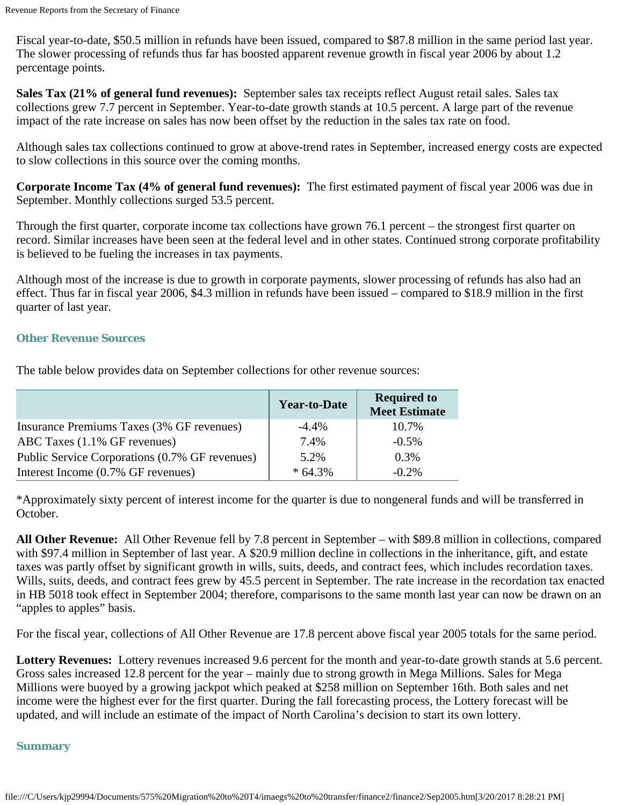Fiscal year-to-date, \$50.5 million in refunds have been issued, compared to \$87.8 million in the same period last year. The slower processing of refunds thus far has boosted apparent revenue growth in fiscal year 2006 by about 1.2 percentage points.

**Sales Tax (21% of general fund revenues):** September sales tax receipts reflect August retail sales. Sales tax collections grew 7.7 percent in September. Year-to-date growth stands at 10.5 percent. A large part of the revenue impact of the rate increase on sales has now been offset by the reduction in the sales tax rate on food.

Although sales tax collections continued to grow at above-trend rates in September, increased energy costs are expected to slow collections in this source over the coming months.

**Corporate Income Tax (4% of general fund revenues):** The first estimated payment of fiscal year 2006 was due in September. Monthly collections surged 53.5 percent.

Through the first quarter, corporate income tax collections have grown 76.1 percent – the strongest first quarter on record. Similar increases have been seen at the federal level and in other states. Continued strong corporate profitability is believed to be fueling the increases in tax payments.

Although most of the increase is due to growth in corporate payments, slower processing of refunds has also had an effect. Thus far in fiscal year 2006, \$4.3 million in refunds have been issued – compared to \$18.9 million in the first quarter of last year.

### **Other Revenue Sources**

The table below provides data on September collections for other revenue sources:

|                                                | <b>Year-to-Date</b> | <b>Required to</b><br><b>Meet Estimate</b> |
|------------------------------------------------|---------------------|--------------------------------------------|
| Insurance Premiums Taxes (3% GF revenues)      | $-4.4\%$            | 10.7%                                      |
| ABC Taxes $(1.1\% \text{ GF}$ revenues)        | 7.4%                | $-0.5\%$                                   |
| Public Service Corporations (0.7% GF revenues) | 5.2%                | 0.3%                                       |
| Interest Income (0.7% GF revenues)             | $*64.3%$            | $-0.2\%$                                   |

\*Approximately sixty percent of interest income for the quarter is due to nongeneral funds and will be transferred in October.

**All Other Revenue:** All Other Revenue fell by 7.8 percent in September – with \$89.8 million in collections, compared with \$97.4 million in September of last year. A \$20.9 million decline in collections in the inheritance, gift, and estate taxes was partly offset by significant growth in wills, suits, deeds, and contract fees, which includes recordation taxes. Wills, suits, deeds, and contract fees grew by 45.5 percent in September. The rate increase in the recordation tax enacted in HB 5018 took effect in September 2004; therefore, comparisons to the same month last year can now be drawn on an "apples to apples" basis.

For the fiscal year, collections of All Other Revenue are 17.8 percent above fiscal year 2005 totals for the same period.

**Lottery Revenues:** Lottery revenues increased 9.6 percent for the month and year-to-date growth stands at 5.6 percent. Gross sales increased 12.8 percent for the year – mainly due to strong growth in Mega Millions. Sales for Mega Millions were buoyed by a growing jackpot which peaked at \$258 million on September 16th. Both sales and net income were the highest ever for the first quarter. During the fall forecasting process, the Lottery forecast will be updated, and will include an estimate of the impact of North Carolina's decision to start its own lottery.

### **Summary**